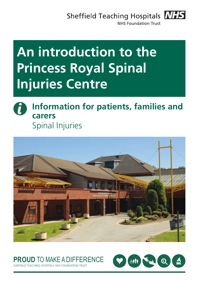Sheffield Teaching Hospitals **NHS** 



**NHS Foundation Trust** 

# **An introduction to the Princess Royal Spinal Injuries Centre**





## **PROUD** TO MAKE A DIFFERENCE



ELD TEACHING HOSPITALS NHS FOUNDATION TRUS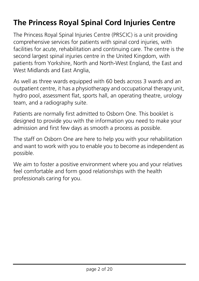## **The Princess Royal Spinal Cord Injuries Centre**

The Princess Royal Spinal Injuries Centre (PRSCIC) is a unit providing comprehensive services for patients with spinal cord injuries, with facilities for acute, rehabilitation and continuing care. The centre is the second largest spinal injuries centre in the United Kingdom, with patients from Yorkshire, North and North-West England, the East and West Midlands and East Anglia,

As well as three wards equipped with 60 beds across 3 wards and an outpatient centre, it has a physiotherapy and occupational therapy unit, hydro pool, assessment flat, sports hall, an operating theatre, urology team, and a radiography suite.

Patients are normally first admitted to Osborn One. This booklet is designed to provide you with the information you need to make your admission and first few days as smooth a process as possible.

The staff on Osborn One are here to help you with your rehabilitation and want to work with you to enable you to become as independent as possible.

We aim to foster a positive environment where you and your relatives feel comfortable and form good relationships with the health professionals caring for you.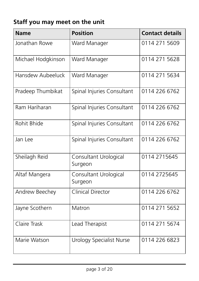## **Staff you may meet on the unit**

| <b>Name</b>        | <b>Position</b>                  | <b>Contact details</b> |
|--------------------|----------------------------------|------------------------|
| Jonathan Rowe      | Ward Manager                     | 0114 271 5609          |
| Michael Hodgkinson | Ward Manager                     | 0114 271 5628          |
| Hansdew Aubeeluck  | Ward Manager                     | 0114 271 5634          |
| Pradeep Thumbikat  | Spinal Injuries Consultant       | 0114 226 6762          |
| Ram Hariharan      | Spinal Injuries Consultant       | 0114 226 6762          |
| Rohit Bhide        | Spinal Injuries Consultant       | 0114 226 6762          |
| Jan Lee            | Spinal Injuries Consultant       | 0114 226 6762          |
| Sheilagh Reid      | Consultant Urological<br>Surgeon | 0114 2715645           |
| Altaf Mangera      | Consultant Urological<br>Surgeon | 0114 2725645           |
| Andrew Beechey     | <b>Clinical Director</b>         | 0114 226 6762          |
| Jayne Scothern     | Matron                           | 0114 271 5652          |
| Claire Trask       | Lead Therapist                   | 0114 271 5674          |
| Marie Watson       | <b>Urology Specialist Nurse</b>  | 0114 226 6823          |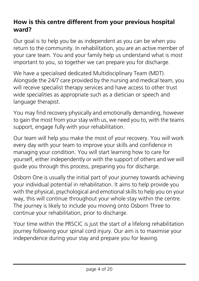#### **How is this centre different from your previous hospital ward?**

Our goal is to help you be as independent as you can be when you return to the community. In rehabilitation, you are an active member of your care team. You and your family help us understand what is most important to you, so together we can prepare you for discharge.

We have a specialised dedicated Multidisciplinary Team (MDT). Alongside the 24/7 care provided by the nursing and medical team, you will receive specialist therapy services and have access to other trust wide specialities as appropriate such as a dietician or speech and language therapist.

You may find recovery physically and emotionally demanding, however to gain the most from your stay with us, we need you to, with the teams support, engage fully with your rehabilitation.

Our team will help you make the most of your recovery. You will work every day with your team to improve your skills and confidence in managing your condition. You will start learning how to care for yourself, either independently or with the support of others and we will guide you through this process, preparing you for discharge.

Osborn One is usually the initial part of your journey towards achieving your individual potential in rehabilitation. It aims to help provide you with the physical, psychological and emotional skills to help you on your way, this will continue throughout your whole stay within the centre. The journey is likely to include you moving onto Osborn Three to continue your rehabilitation, prior to discharge.

Your time within the PRSCIC is just the start of a lifelong rehabilitation journey following your spinal cord injury. Our aim is to maximise your independence during your stay and prepare you for leaving.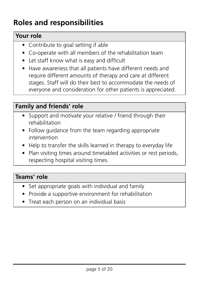## **Roles and responsibilities**

#### **Your role**

- Contribute to goal setting if able
- Co-operate with all members of the rehabilitation team
- Let staff know what is easy and difficult
- Have awareness that all patients have different needs and require different amounts of therapy and care at different stages. Staff will do their best to accommodate the needs of everyone and consideration for other patients is appreciated.

#### **Family and friends' role**

- Support and motivate your relative / friend through their rehabilitation
- Follow guidance from the team regarding appropriate intervention
- Help to transfer the skills learned in therapy to everyday life
- Plan visiting times around timetabled activities or rest periods, respecting hospital visiting times.

#### **Teams' role**

- Set appropriate goals with individual and family
- Provide a supportive environment for rehabilitation
- Treat each person on an individual basis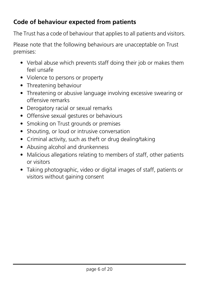#### **Code of behaviour expected from patients**

The Trust has a code of behaviour that applies to all patients and visitors.

Please note that the following behaviours are unacceptable on Trust premises:

- Verbal abuse which prevents staff doing their job or makes them feel unsafe
- Violence to persons or property
- Threatening behaviour
- Threatening or abusive language involving excessive swearing or offensive remarks
- Derogatory racial or sexual remarks
- Offensive sexual gestures or behaviours
- Smoking on Trust grounds or premises
- Shouting, or loud or intrusive conversation
- Criminal activity, such as theft or drug dealing/taking
- Abusing alcohol and drunkenness
- Malicious allegations relating to members of staff, other patients or visitors
- Taking photographic, video or digital images of staff, patients or visitors without gaining consent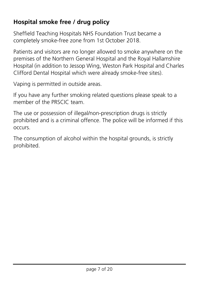#### **Hospital smoke free / drug policy**

Sheffield Teaching Hospitals NHS Foundation Trust became a completely smoke-free zone from 1st October 2018.

Patients and visitors are no longer allowed to smoke anywhere on the premises of the Northern General Hospital and the Royal Hallamshire Hospital (in addition to Jessop Wing, Weston Park Hospital and Charles Clifford Dental Hospital which were already smoke-free sites).

Vaping is permitted in outside areas.

If you have any further smoking related questions please speak to a member of the PRSCIC team.

The use or possession of illegal/non-prescription drugs is strictly prohibited and is a criminal offence. The police will be informed if this occurs.

The consumption of alcohol within the hospital grounds, is strictly prohibited.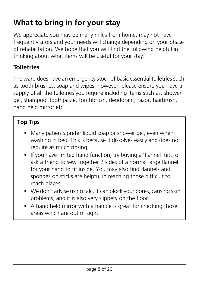## **What to bring in for your stay**

We appreciate you may be many miles from home, may not have frequent visitors and your needs will change depending on your phase of rehabilitation. We hope that you will find the following helpful in thinking about what items will be useful for your stay.

#### **Toiletries**

The ward does have an emergency stock of basic essential toiletries such as tooth brushes, soap and wipes, however, please ensure you have a supply of all the toiletries you require including items such as, shower gel, shampoo, toothpaste, toothbrush, deodorant, razor, hairbrush, hand held mirror etc.

#### **Top Tips**

- Many patients prefer liquid soap or shower gel, even when washing in bed. This is because it dissolves easily and does not require as much rinsing.
- If you have limited hand function, try buying a 'flannel mitt' or ask a friend to sew together 2 sides of a normal large flannel for your hand to fit inside. You may also find flannels and sponges on sticks are helpful in reaching those difficult to reach places.
- We don't advise using talc. It can block your pores, causing skin problems, and it is also very slippery on the floor.
- A hand held mirror with a handle is great for checking those areas which are out of sight.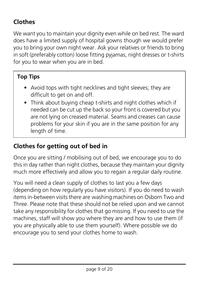### **Clothes**

We want you to maintain your dignity even while on bed rest. The ward does have a limited supply of hospital gowns though we would prefer you to bring your own night wear. Ask your relatives or friends to bring in soft (preferably cotton) loose fitting pyjamas, night dresses or t-shirts for you to wear when you are in bed.

#### **Top Tips**

- Avoid tops with tight necklines and tight sleeves; they are difficult to get on and off.
- Think about buying cheap t-shirts and night clothes which if needed can be cut up the back so your front is covered but you are not lying on creased material. Seams and creases can cause problems for your skin if you are in the same position for any length of time.

#### **Clothes for getting out of bed in**

Once you are sitting / mobilising out of bed, we encourage you to do this in day rather than night clothes, because they maintain your dignity much more effectively and allow you to regain a regular daily routine.

You will need a clean supply of clothes to last you a few days (depending on how regularly you have visitors). If you do need to wash items in-between visits there are washing machines on Osborn Two and Three. Please note that these should not be relied upon and we cannot take any responsibility for clothes that go missing. If you need to use the machines, staff will show you where they are and how to use them (if you are physically able to use them yourself). Where possible we do encourage you to send your clothes home to wash.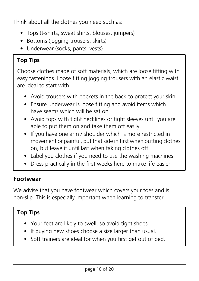Think about all the clothes you need such as:

- Tops (t-shirts, sweat shirts, blouses, jumpers)
- Bottoms (jogging trousers, skirts)
- Underwear (socks, pants, vests)

#### **Top Tips**

Choose clothes made of soft materials, which are loose fitting with easy fastenings. Loose fitting jogging trousers with an elastic waist are ideal to start with.

- Avoid trousers with pockets in the back to protect your skin.
- Ensure underwear is loose fitting and avoid items which have seams which will be sat on.
- Avoid tops with tight necklines or tight sleeves until you are able to put them on and take them off easily.
- If you have one arm / shoulder which is more restricted in movement or painful, put that side in first when putting clothes on, but leave it until last when taking clothes off.
- Label you clothes if you need to use the washing machines.
- Dress practically in the first weeks here to make life easier.

#### **Footwear**

We advise that you have footwear which covers your toes and is non-slip. This is especially important when learning to transfer.

#### **Top Tips**

- Your feet are likely to swell, so avoid tight shoes.
- If buying new shoes choose a size larger than usual.
- Soft trainers are ideal for when you first get out of bed.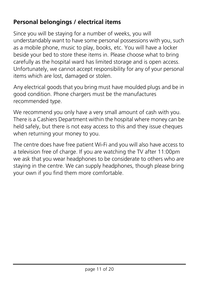#### **Personal belongings / electrical items**

Since you will be staying for a number of weeks, you will understandably want to have some personal possessions with you, such as a mobile phone, music to play, books, etc. You will have a locker beside your bed to store these items in. Please choose what to bring carefully as the hospital ward has limited storage and is open access. Unfortunately, we cannot accept responsibility for any of your personal items which are lost, damaged or stolen.

Any electrical goods that you bring must have moulded plugs and be in good condition. Phone chargers must be the manufactures recommended type.

We recommend you only have a very small amount of cash with you. There is a Cashiers Department within the hospital where money can be held safely, but there is not easy access to this and they issue cheques when returning your money to you.

The centre does have free patient Wi-Fi and you will also have access to a television free of charge. If you are watching the TV after 11:00pm we ask that you wear headphones to be considerate to others who are staying in the centre. We can supply headphones, though please bring your own if you find them more comfortable.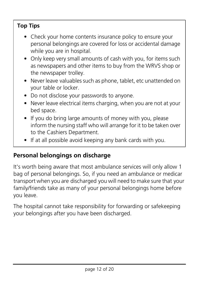#### **Top Tips**

- Check your home contents insurance policy to ensure your personal belongings are covered for loss or accidental damage while you are in hospital.
- Only keep very small amounts of cash with you, for items such as newspapers and other items to buy from the WRVS shop or the newspaper trolley.
- Never leave valuables such as phone, tablet, etc unattended on your table or locker.
- Do not disclose your passwords to anyone.
- Never leave electrical items charging, when you are not at your bed space.
- If you do bring large amounts of money with you, please inform the nursing staff who will arrange for it to be taken over to the Cashiers Department.
- If at all possible avoid keeping any bank cards with you.

#### **Personal belongings on discharge**

It's worth being aware that most ambulance services will only allow 1 bag of personal belongings. So, if you need an ambulance or medicar transport when you are discharged you will need to make sure that your family/friends take as many of your personal belongings home before you leave.

The hospital cannot take responsibility for forwarding or safekeeping your belongings after you have been discharged.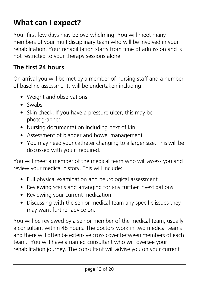## **What can I expect?**

Your first few days may be overwhelming. You will meet many members of your multidisciplinary team who will be involved in your rehabilitation. Your rehabilitation starts from time of admission and is not restricted to your therapy sessions alone.

#### **The first 24 hours**

On arrival you will be met by a member of nursing staff and a number of baseline assessments will be undertaken including:

- Weight and observations
- Swabs
- Skin check. If you have a pressure ulcer, this may be photographed.
- Nursing documentation including next of kin
- Assessment of bladder and bowel management
- You may need your catheter changing to a larger size. This will be discussed with you if required.

You will meet a member of the medical team who will assess you and review your medical history. This will include:

- Full physical examination and neurological assessment
- Reviewing scans and arranging for any further investigations
- Reviewing your current medication
- Discussing with the senior medical team any specific issues they may want further advice on.

You will be reviewed by a senior member of the medical team, usually a consultant within 48 hours. The doctors work in two medical teams and there will often be extensive cross cover between members of each team. You will have a named consultant who will oversee your rehabilitation journey. The consultant will advise you on your current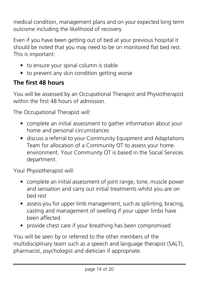medical condition, management plans and on your expected long term outcome including the likelihood of recovery.

Even if you have been getting out of bed at your previous hospital it should be noted that you may need to be on monitored flat bed rest. This is important:

- to ensure your spinal column is stable
- to prevent any skin condition getting worse

#### **The first 48 hours**

You will be assessed by an Occupational Therapist and Physiotherapist within the first 48 hours of admission.

The Occupational Therapist will:

- complete an initial assessment to gather information about your home and personal circumstances
- discuss a referral to your Community Equipment and Adaptations Team for allocation of a Community OT to assess your home environment. Your Community OT is based in the Social Services department.

Your Physiotherapist will:

- complete an initial assessment of joint range, tone, muscle power and sensation and carry out initial treatments whilst you are on bed rest
- assess you for upper limb management, such as splinting, bracing, casting and management of swelling if your upper limbs have been affected
- provide chest care if your breathing has been compromised

You will be seen by or referred to the other members of the multidisciplinary team such as a speech and language therapist (SALT), pharmacist, psychologist and dietician if appropriate.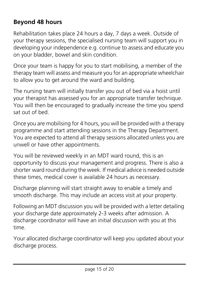#### **Beyond 48 hours**

Rehabilitation takes place 24 hours a day, 7 days a week. Outside of your therapy sessions, the specialised nursing team will support you in developing your independence e.g. continue to assess and educate you on your bladder, bowel and skin condition.

Once your team is happy for you to start mobilising, a member of the therapy team will assess and measure you for an appropriate wheelchair to allow you to get around the ward and building.

The nursing team will initially transfer you out of bed via a hoist until your therapist has assessed you for an appropriate transfer technique. You will then be encouraged to gradually increase the time you spend sat out of bed.

Once you are mobilising for 4 hours, you will be provided with a therapy programme and start attending sessions in the Therapy Department. You are expected to attend all therapy sessions allocated unless you are unwell or have other appointments.

You will be reviewed weekly in an MDT ward round, this is an opportunity to discuss your management and progress. There is also a shorter ward round during the week. If medical advice is needed outside these times, medical cover is available 24 hours as necessary.

Discharge planning will start straight away to enable a timely and smooth discharge. This may include an access visit at your property.

Following an MDT discussion you will be provided with a letter detailing your discharge date approximately 2-3 weeks after admission. A discharge coordinator will have an initial discussion with you at this time.

Your allocated discharge coordinator will keep you updated about your discharge process.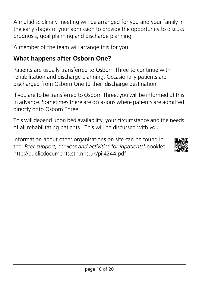A multidisciplinary meeting will be arranged for you and your family in the early stages of your admission to provide the opportunity to discuss prognosis, goal planning and discharge planning.

A member of the team will arrange this for you.

#### **What happens after Osborn One?**

Patients are usually transferred to Osborn Three to continue with rehabilitation and discharge planning. Occasionally patients are discharged from Osborn One to their discharge destination.

If you are to be transferred to Osborn Three, you will be informed of this in advance. Sometimes there are occasions where patients are admitted directly onto Osborn Three.

This will depend upon bed availability, your circumstance and the needs of all rehabilitating patients. This will be discussed with you.

Information about other organisations on site can be found in the *'Peer support, services and activities for inpatients'* booklet <http://publicdocuments.sth.nhs.uk/pil4244.pdf>

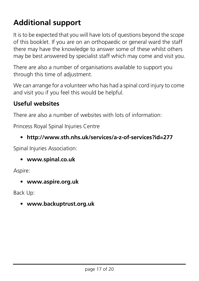## **Additional support**

It is to be expected that you will have lots of questions beyond the scope of this booklet. If you are on an orthopaedic or general ward the staff there may have the knowledge to answer some of these whilst others may be best answered by specialist staff which may come and visit you.

There are also a number of organisations available to support you through this time of adjustment.

We can arrange for a volunteer who has had a spinal cord injury to come and visit you if you feel this would be helpful.

#### **Useful websites**

There are also a number of websites with lots of information:

Princess Royal Spinal Injuries Centre

#### • **http://www.sth.nhs.uk/services/a-z-of-services?id=277**

Spinal Injuries Association:

• **www.spinal.co.uk**

Aspire:

• **www.aspire.org.uk** 

Back Up:

• **www.backuptrust.org.uk**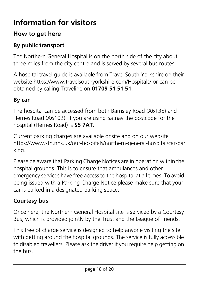## **Information for visitors**

#### **How to get here**

#### **By public transport**

The Northern General Hospital is on the north side of the city about three miles from the city centre and is served by several bus routes.

A hospital travel guide is available from Travel South Yorkshire on their website<https://www.travelsouthyorkshire.com/Hospitals/> or can be obtained by calling Traveline on **01709 51 51 51**.

#### **By car**

The hospital can be accessed from both Barnsley Road (A6135) and Herries Road (A6102). If you are using Satnav the postcode for the hospital (Herries Road) is **S5 7AT**.

Current parking charges are available onsite and on our website [https://www.sth.nhs.uk/our-hospitals/northern-general-hospital/car-par](https://www.sth.nhs.uk/our-hospitals/northern-general-hospital/car-parking) [king](https://www.sth.nhs.uk/our-hospitals/northern-general-hospital/car-parking).

Please be aware that Parking Charge Notices are in operation within the hospital grounds. This is to ensure that ambulances and other emergency services have free access to the hospital at all times. To avoid being issued with a Parking Charge Notice please make sure that your car is parked in a designated parking space.

#### **Courtesy bus**

Once here, the Northern General Hospital site is serviced by a Courtesy Bus, which is provided jointly by the Trust and the League of Friends.

This free of charge service is designed to help anyone visiting the site with getting around the hospital grounds. The service is fully accessible to disabled travellers. Please ask the driver if you require help getting on the bus.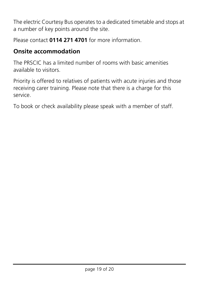The electric Courtesy Bus operates to a dedicated timetable and stops at a number of key points around the site.

Please contact **0114 271 4701** for more information.

#### **Onsite accommodation**

The PRSCIC has a limited number of rooms with basic amenities available to visitors.

Priority is offered to relatives of patients with acute injuries and those receiving carer training. Please note that there is a charge for this service.

To book or check availability please speak with a member of staff.